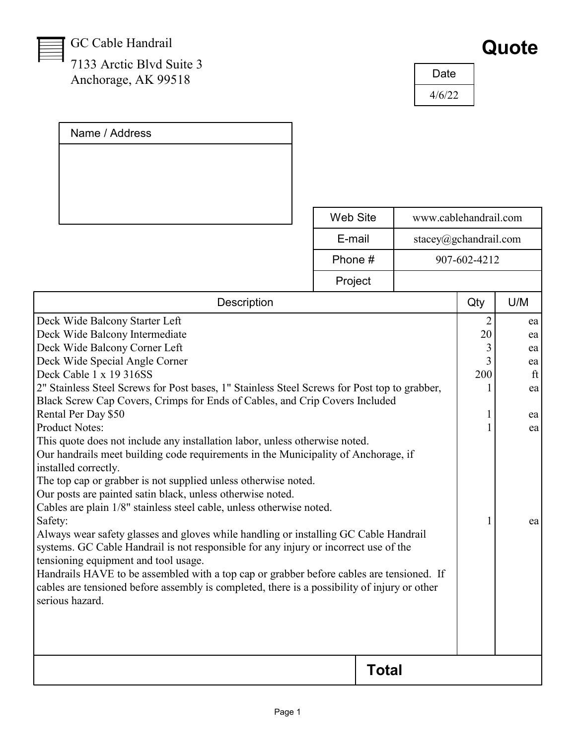GC Cable Handrail

Name / Address

7133 Arctic Blvd Suite 3 Anchorage, AK 99518

| Quote |
|-------|
|       |

| Date   |
|--------|
| 4/6/22 |

|                                                                                                                                                                                                                                                                                                                                                                                                                                                                                                                                                                                                                                                                                                                                                                                                                                                                                                                                                                                                                                                                                                                                                                                                                                                      | Web Site     | www.cablehandrail.com |                          |                                              |
|------------------------------------------------------------------------------------------------------------------------------------------------------------------------------------------------------------------------------------------------------------------------------------------------------------------------------------------------------------------------------------------------------------------------------------------------------------------------------------------------------------------------------------------------------------------------------------------------------------------------------------------------------------------------------------------------------------------------------------------------------------------------------------------------------------------------------------------------------------------------------------------------------------------------------------------------------------------------------------------------------------------------------------------------------------------------------------------------------------------------------------------------------------------------------------------------------------------------------------------------------|--------------|-----------------------|--------------------------|----------------------------------------------|
|                                                                                                                                                                                                                                                                                                                                                                                                                                                                                                                                                                                                                                                                                                                                                                                                                                                                                                                                                                                                                                                                                                                                                                                                                                                      | E-mail       | stacey@gchandrail.com |                          |                                              |
| Phone #                                                                                                                                                                                                                                                                                                                                                                                                                                                                                                                                                                                                                                                                                                                                                                                                                                                                                                                                                                                                                                                                                                                                                                                                                                              |              |                       | 907-602-4212             |                                              |
|                                                                                                                                                                                                                                                                                                                                                                                                                                                                                                                                                                                                                                                                                                                                                                                                                                                                                                                                                                                                                                                                                                                                                                                                                                                      | Project      |                       |                          |                                              |
| <b>Description</b>                                                                                                                                                                                                                                                                                                                                                                                                                                                                                                                                                                                                                                                                                                                                                                                                                                                                                                                                                                                                                                                                                                                                                                                                                                   |              |                       | Qty                      | U/M                                          |
| Deck Wide Balcony Starter Left<br>Deck Wide Balcony Intermediate<br>Deck Wide Balcony Corner Left<br>Deck Wide Special Angle Corner<br>Deck Cable 1 x 19 316SS<br>2" Stainless Steel Screws for Post bases, 1" Stainless Steel Screws for Post top to grabber,<br>Black Screw Cap Covers, Crimps for Ends of Cables, and Crip Covers Included<br>Rental Per Day \$50<br><b>Product Notes:</b><br>This quote does not include any installation labor, unless otherwise noted.<br>Our handrails meet building code requirements in the Municipality of Anchorage, if<br>installed correctly.<br>The top cap or grabber is not supplied unless otherwise noted.<br>Our posts are painted satin black, unless otherwise noted.<br>Cables are plain 1/8" stainless steel cable, unless otherwise noted.<br>Safety:<br>Always wear safety glasses and gloves while handling or installing GC Cable Handrail<br>systems. GC Cable Handrail is not responsible for any injury or incorrect use of the<br>tensioning equipment and tool usage.<br>Handrails HAVE to be assembled with a top cap or grabber before cables are tensioned. If<br>cables are tensioned before assembly is completed, there is a possibility of injury or other<br>serious hazard. |              |                       | 20<br>3<br>3<br>200<br>1 | ea<br>ea<br>ea<br>ft<br>ea<br>ea<br>ea<br>ea |
|                                                                                                                                                                                                                                                                                                                                                                                                                                                                                                                                                                                                                                                                                                                                                                                                                                                                                                                                                                                                                                                                                                                                                                                                                                                      | <b>Total</b> |                       |                          |                                              |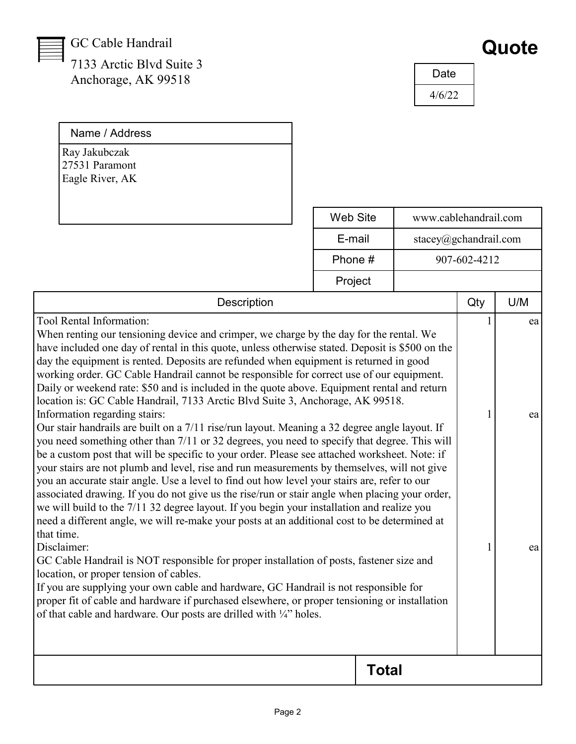## GC Cable Handrail

Name / Address

7133 Arctic Blvd Suite 3 Anchorage, AK 99518

| Quote |  |
|-------|--|
|-------|--|

| Date   |  |
|--------|--|
| 4/6/22 |  |

| Ray Jakubczak<br>27531 Paramont<br>Eagle River, AK                                                                                                                                                                                                                                                                                                                                                                                                                                                                                                                                                                                                                                                                                                                                                                                                                                                                                                                                                                                                                                                                                                                                                                                                                                                                                                                                                                                                                                                                                                                                                                                                                                                                                                                                                                                                               |  |                 |                       |                |     |
|------------------------------------------------------------------------------------------------------------------------------------------------------------------------------------------------------------------------------------------------------------------------------------------------------------------------------------------------------------------------------------------------------------------------------------------------------------------------------------------------------------------------------------------------------------------------------------------------------------------------------------------------------------------------------------------------------------------------------------------------------------------------------------------------------------------------------------------------------------------------------------------------------------------------------------------------------------------------------------------------------------------------------------------------------------------------------------------------------------------------------------------------------------------------------------------------------------------------------------------------------------------------------------------------------------------------------------------------------------------------------------------------------------------------------------------------------------------------------------------------------------------------------------------------------------------------------------------------------------------------------------------------------------------------------------------------------------------------------------------------------------------------------------------------------------------------------------------------------------------|--|-----------------|-----------------------|----------------|-----|
|                                                                                                                                                                                                                                                                                                                                                                                                                                                                                                                                                                                                                                                                                                                                                                                                                                                                                                                                                                                                                                                                                                                                                                                                                                                                                                                                                                                                                                                                                                                                                                                                                                                                                                                                                                                                                                                                  |  | <b>Web Site</b> | www.cablehandrail.com |                |     |
| E-mail<br>stacey@gchandrail.com                                                                                                                                                                                                                                                                                                                                                                                                                                                                                                                                                                                                                                                                                                                                                                                                                                                                                                                                                                                                                                                                                                                                                                                                                                                                                                                                                                                                                                                                                                                                                                                                                                                                                                                                                                                                                                  |  |                 |                       |                |     |
|                                                                                                                                                                                                                                                                                                                                                                                                                                                                                                                                                                                                                                                                                                                                                                                                                                                                                                                                                                                                                                                                                                                                                                                                                                                                                                                                                                                                                                                                                                                                                                                                                                                                                                                                                                                                                                                                  |  | Phone #         |                       | 907-602-4212   |     |
|                                                                                                                                                                                                                                                                                                                                                                                                                                                                                                                                                                                                                                                                                                                                                                                                                                                                                                                                                                                                                                                                                                                                                                                                                                                                                                                                                                                                                                                                                                                                                                                                                                                                                                                                                                                                                                                                  |  | Project         |                       |                |     |
| <b>Description</b>                                                                                                                                                                                                                                                                                                                                                                                                                                                                                                                                                                                                                                                                                                                                                                                                                                                                                                                                                                                                                                                                                                                                                                                                                                                                                                                                                                                                                                                                                                                                                                                                                                                                                                                                                                                                                                               |  |                 |                       | Qty            | U/M |
| Tool Rental Information:<br>When renting our tensioning device and crimper, we charge by the day for the rental. We<br>have included one day of rental in this quote, unless otherwise stated. Deposit is \$500 on the<br>day the equipment is rented. Deposits are refunded when equipment is returned in good<br>working order. GC Cable Handrail cannot be responsible for correct use of our equipment.<br>Daily or weekend rate: \$50 and is included in the quote above. Equipment rental and return<br>location is: GC Cable Handrail, 7133 Arctic Blvd Suite 3, Anchorage, AK 99518.<br>Information regarding stairs:<br>Our stair handrails are built on a 7/11 rise/run layout. Meaning a 32 degree angle layout. If<br>you need something other than 7/11 or 32 degrees, you need to specify that degree. This will<br>be a custom post that will be specific to your order. Please see attached worksheet. Note: if<br>your stairs are not plumb and level, rise and run measurements by themselves, will not give<br>you an accurate stair angle. Use a level to find out how level your stairs are, refer to our<br>associated drawing. If you do not give us the rise/run or stair angle when placing your order,<br>we will build to the 7/11 32 degree layout. If you begin your installation and realize you<br>need a different angle, we will re-make your posts at an additional cost to be determined at<br>that time.<br>Disclaimer:<br>GC Cable Handrail is NOT responsible for proper installation of posts, fastener size and<br>location, or proper tension of cables.<br>If you are supplying your own cable and hardware, GC Handrail is not responsible for<br>proper fit of cable and hardware if purchased elsewhere, or proper tensioning or installation<br>of that cable and hardware. Our posts are drilled with 1/4" holes. |  |                 | 1                     | ea<br>ea<br>ea |     |
|                                                                                                                                                                                                                                                                                                                                                                                                                                                                                                                                                                                                                                                                                                                                                                                                                                                                                                                                                                                                                                                                                                                                                                                                                                                                                                                                                                                                                                                                                                                                                                                                                                                                                                                                                                                                                                                                  |  | <b>Total</b>    |                       |                |     |